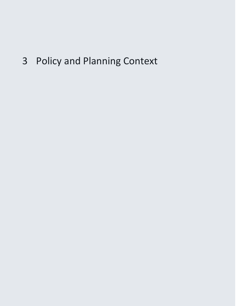3 Policy and Planning Context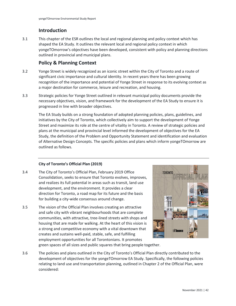# **Introduction**

3.1 This chapter of the ESR outlines the local and regional planning and policy context which has shaped the EA Study. It outlines the relevant local and regional policy context in which yongeTOmorrow's objectives have been developed, consistent with policy and planning directions outlined in provincial and municipal plans.

# **Policy & Planning Context**

- 3.2 Yonge Street is widely recognized as an iconic street within the City of Toronto and a route of significant civic importance and cultural identity. In recent years there has been growing recognition of the importance and potential of Yonge Street in response to its evolving context as a major destination for commerce, leisure and recreation, and housing.
- 3.3 Strategic policies for Yonge Street outlined in relevant municipal policy documents provide the necessary objectives, vision, and framework for the development of the EA Study to ensure it is progressed in line with broader objectives.

 initiatives by the City of Toronto, which collectively aim to support the development of Yonge The EA Study builds on a strong foundation of adopted planning policies, plans, guidelines, and Street and maximize its role at the centre of vitality in Toronto. A review of strategic policies and plans at the municipal and provincial level informed the development of objectives for the EA Study, the definition of the Problem and Opportunity Statement and identification and evaluation of Alternative Design Concepts. The specific policies and plans which inform yongeTOmorrow are outlined as follows.

# **City of Toronto's Official Plan (2019)**

- 3.4 The City of Toronto's Official Plan, February 2019 Office Consolidation, seeks to ensure that Toronto evolves, improves, and realizes its full potential in areas such as transit, land use development, and the environment. It provides a clear direction for Toronto, a road map for its future and the basis for building a city-wide consensus around change.
- employment opportunities for all Torontonians. It promotes 3.5 The vision of the Official Plan involves creating an attractive and safe city with vibrant neighbourhoods that are complete communities, with attractive, tree-lined streets with shops and housing that are made for walking. At the heart of this vision is a strong and competitive economy with a vital downtown that creates and sustains well-paid, stable, safe, and fulfilling



green spaces of all sizes and public squares that bring people together.

 3.6 The policies and plans outlined in the City of Toronto's Official Plan directly contributed to the development of objectives for the yongeTOmorrow EA Study. Specifically, the following policies relating to land use and transportation planning, outlined in Chapter 2 of the Official Plan, were considered: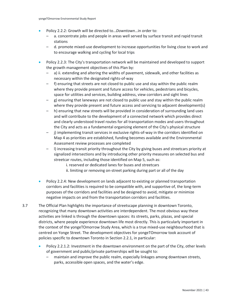- Policy 2.2.2: Growth will be directed to…*Downtown*…in order to:
	- a. concentrate jobs and people in areas well served by surface transit and rapid transit stations
	- – d. promote mixed-use development to increase opportunities for living close to work and to encourage walking and cycling for local trips
- Policy 2.2.3: The City's transportation network will be maintained and developed to support the growth management objectives of this Plan by:
	- a) ii. extending and altering the widths of pavement, sidewalk, and other facilities as necessary within the designated rights-of-way
	- f) ensuring that streets are not closed to public use and stay within the public realm where they provide present and future access for vehicles, pedestrians and bicycles, space for utilities and services, building address, view corridors and sight lines
	- g) ensuring that laneways are not closed to public use and stay within the public realm where they provide present and future access and servicing to adjacent development(s)
	- h) ensuring that new streets will be provided in consideration of surrounding land uses and will contribute to the development of a connected network which provides direct and clearly understood travel routes for all transportation modes and users throughout the City and acts as a fundamental organizing element of the City's physical structure
	- j) implementing transit services in exclusive rights-of-way in the corridors identified on Map 4 as priorities are established, funding becomes available and the Environmental Assessment review processes are completed
	- streetcar routes, including those identified on Map 5, such as: – l) increasing transit priority throughout the City by giving buses and streetcars priority at signalized intersections and by introducing other priority measures on selected bus and
		- i. reserved or dedicated lanes for buses and streetcars
		- ii. limiting or removing on-street parking during part or all of the day
- • Policy 2.2.4: New development on lands adjacent to existing or planned transportation corridors and facilities is required to be compatible with, and supportive of, the long-term purposes of the corridors and facilities and be designed to avoid, mitigate or minimize negative impacts on and from the transportation corridors and facilities.
- activities are linked is through the downtown spaces: its streets, parks, plazas, and special 3.7 The Official Plan highlights the importance of streetscape planning in downtown Toronto, recognizing that many downtown activities are interdependent. The most obvious way these districts, where people experience downtown life most directly. This is particularly important in the context of the yongeTOmorrow Study Area, which is a true mixed-use neighbourhood that is centred on Yonge Street. The development objectives for yongeTOmorrow took account of policies specific to downtown Toronto in Section 2.2.1, in particular:
	- Policy 2.2.1.2: Investment in the downtown environment on the part of the City, other levels of government and public/private partnerships will be sought to:
		- maintain and improve the public realm, especially linkages among downtown streets, parks, accessible open spaces, and the water's edge.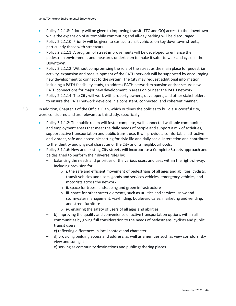- Policy 2.2.1.8: Priority will be given to improving transit (TTC and GO) access to the downtown while the expansion of automobile commuting and all-day parking will be discouraged.
- Policy 2.2.1.10: Priority will be given to surface transit vehicles on key downtown streets, particularly those with streetcars.
- pedestrian environment and measures undertaken to make it safer to walk and cycle in the • Policy 2.2.1.11: A program of street improvements will be developed to enhance the Downtown.
- new development to connect to the system. The City may request additional information • Policy 2.2.1.12: Without compromising the role of the street as the main place for pedestrian activity, expansion and redevelopment of the PATH network will be supported by encouraging including a PATH feasibility study, to address PATH network expansion and/or secure new PATH connections for major new development in areas on or near the PATH network.
- Policy 2.2.1.14: The City will work with property owners, developers, and other stakeholders to ensure the PATH network develops in a consistent, connected, and coherent manner.

3.8 In addition, Chapter 3 of the Official Plan, which outlines the policies to build a successful city, were considered and are relevant to this study, specifically:

- Policy 3.1.1.2: The public realm will foster complete, well-connected walkable communities and employment areas that meet the daily needs of people and support a mix of activities, support active transportation and public transit use. It will provide a comfortable, attractive and vibrant, safe and accessible setting for civic life and daily social interaction and contribute to the identity and physical character of the City and its neighbourhoods.
- Policy 3.1.1.6: New and existing City streets will incorporate a Complete Streets approach and be designed to perform their diverse roles by:
	- balancing the needs and priorities of the various users and uses within the right-of-way, including provision for:
		- $\circ$  i. the safe and efficient movement of pedestrians of all ages and abilities, cyclists, transit vehicles and users, goods and services vehicles, emergency vehicles, and motorists across the network
		- o ii. space for trees, landscaping and green infrastructure
		- o iii. space for other street elements, such as utilities and services, snow and stormwater management, wayfinding, boulevard cafes, marketing and vending, and street furniture
		- o iv. ensuring the safety of users of all ages and abilities
	- – b) improving the quality and convenience of active transportation options within all communities by giving full consideration to the needs of pedestrians, cyclists and public transit users
	- c) reflecting differences in local context and character
	- d) providing building access and address, as well as amenities such as view corridors, sky view and sunlight
	- e) serving as community destinations and public gathering places.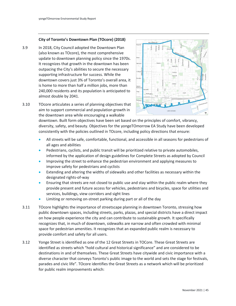#### **City of Toronto's Downtown Plan (TOcore) (2018)**

3.9 In 2018, City Council adopted the Downtown Plan (also known as TOcore), the most comprehensive update to downtown planning policy since the 1970s. It recognizes that growth in the downtown has been outpacing the City's abilities to secure the necessary supporting infrastructure for success. While the downtown covers just 3% of Toronto's overall area, it is home to more than half a million jobs, more than 240,000 residents and its population is anticipated to almost double by 2041.



3.10 TOcore articulates a series of planning objectives that aim to support commercial and population growth in the downtown area while encouraging a walkable

> downtown. Built form objectives have been set based on the principles of comfort, vibrancy, diversity, safety, and beauty. Objectives for the yongeTOmorrow EA Study have been developed consistently with the policies outlined in TOcore, including policy directions that ensure:

- All streets will be safe, comfortable, functional, and accessible in all seasons for pedestrians of all ages and abilities
- Pedestrians, cyclists, and public transit will be prioritized relative to private automobiles, informed by the application of design guidelines for Complete Streets as adopted by Council
- • Improving the street to enhance the pedestrian environment and applying measures to improve safety for pedestrians and cyclists
- Extending and altering the widths of sidewalks and other facilities as necessary within the designated rights-of-way
- • Ensuring that streets are not closed to public use and stay within the public realm where they provide present and future access for vehicles, pedestrians and bicycles, space for utilities and services, buildings, view corridors and sight lines
- Limiting or removing on-street parking during part or all of the day
- 3.11 TOcore highlights the importance of streetscape planning in downtown Toronto, stressing how public downtown spaces, including streets, parks, plazas, and special districts have a direct impact on how people experience the city and can contribute to sustainable growth. It specifically recognizes that, in much of downtown, sidewalks are narrow and often crowded with minimal space for pedestrian amenities. It recognizes that an expanded public realm is necessary to provide comfort and safety for all users.
- diverse character that conveys Toronto's public image to the world and sets the stage for festivals, 3.12 Yonge Street is identified as one of the 12 Great Streets in TOCore. These Great Streets are identified as streets which "hold cultural and historical significance" and are considered to be destinations in and of themselves. These Great Streets have citywide and civic importance with a parades and civic life". TOcore identifies the Great Streets as a network which will be prioritized for public realm improvements which: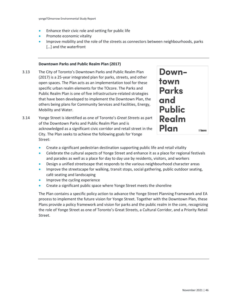- Enhance their civic role and setting for public life
- Promote economic vitality
- Improve mobility and the role of the streets as connectors between neighbourhoods, parks [...] and the waterfront

## **Downtown Parks and Public Realm Plan (2017)**

- Public Realm Plan is one of five infrastructure-related strategies 3.13 The City of Toronto's Downtown Parks and Public Realm Plan (2017) is a 25-year integrated plan for parks, streets, and other open spaces. The Plan acts as an implementation tool for these specific urban realm elements for the TOcore. The Parks and that have been developed to implement the Downtown Plan, the others being plans for Community Services and Facilities, Energy, Mobility and Water.
- acknowledged as a significant civic corridor and retail street in the 3.14 Yonge Street is identified as one of Toronto's *Great Streets* as part of the Downtown Parks and Public Realm Plan and is City. The Plan seeks to achieve the following goals for Yonge Street:



- Create a significant pedestrian destination supporting public life and retail vitality
- Celebrate the cultural aspects of Yonge Street and enhance it as a place for regional festivals and parades as well as a place for day to day use by residents, visitors, and workers
- Design a unified streetscape that responds to the various neighbourhood character areas
- Improve the streetscape for walking, transit stops, social gathering, public outdoor seating, café seating and landscaping
- Improve the cycling experience
- Create a significant public space where Yonge Street meets the shoreline

The Plan contains a specific policy action to advance the Yonge Street Planning Framework and EA process to implement the future vision for Yonge Street. Together with the Downtown Plan, these Plans provide a policy framework and vision for parks and the public realm in the core, recognizing the role of Yonge Street as one of Toronto's Great Streets, a Cultural Corridor, and a Priority Retail Street.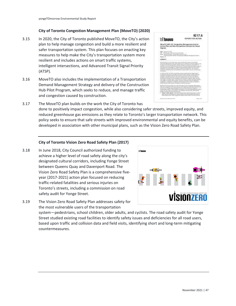## **City of Toronto Congestion Management Plan (MoveTO) (2020)**

- 3.15 In 2020, the City of Toronto published MoveTO, the City's action plan to help manage congestion and build a more resilient and safer transportation system. This plan focuses on enacting key measures to help make the City's transportation system more resilient and includes actions on smart traffic systems, intelligent intersections, and Advanced Transit Signal Priority (ATSP).
- 3.16 MoveTO also includes the implementation of a Transportation Demand Management Strategy and delivery of the Construction Hub Pilot Program, which seeks to reduce, and manage traffic and congestion caused by construction.



 policy seeks to ensure that safe streets with improved environmental and equity benefits, can be developed in association with other municipal plans, such as the Vision Zero Road Safety Plan. 3.17 The MoveTO plan builds on the work the City of Toronto has done to positively impact congestion, while also considering safer streets, improved equity, and reduced greenhouse gas emissions as they relate to Toronto's larger transportation network. This

### **City of Toronto Vision Zero Road Safety Plan (2017)**

 Toronto's streets, including a commission on road 3.18 In June 2018, City Council authorized funding to achieve a higher level of road safety along the city's designated cultural corridors, including Yonge Street between Queens Quay and Davenport Road. The Vision Zero Road Safety Plan is a comprehensive fiveyear (2017-2021) action plan focused on reducing traffic-related fatalities and serious injuries on safety audit for Yonge Street.



3.19 The Vision Zero Road Safety Plan addresses safety for the most vulnerable users of the transportation

 system—pedestrians, school children, older adults, and cyclists. The road safety audit for Yonge based upon traffic and collision data and field visits, identifying short and long-term mitigating Street studied existing road facilities to identify safety issues and deficiencies for all road users, countermeasures.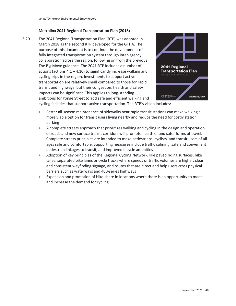#### **Metrolinx 2041 Regional Transportation Plan (2018)**

3.20 The 2041 Regional Transportation Plan (RTP) was adopted in March 2018 as the second RTP developed for the GTHA. The purpose of this document is to continue the development of a fully integrated transportation system through inter-agency collaboration across the region, following on from the previous The Big Move guidance. The 2041 RTP includes a number of actions (actions  $4.1 - 4.10$ ) to significantly increase walking and cycling trips in the region. Investments to support active transportation are relatively small compared to those for rapid transit and highways, but their congestion, health and safety impacts can be significant. This applies to long-standing ambitions for Yonge Street to add safe and efficient walking and



cycling facilities that support active transportation. The RTP's vision includes:

- • Better all-season maintenance of sidewalks near rapid transit stations can make walking a more viable option for transit users living nearby and reduce the need for costly station parking
- A complete streets approach that prioritizes walking and cycling in the design and operation of roads and new surface transit corridors will promote healthier and safer forms of travel. Complete streets principles are intended to make pedestrians, cyclists, and transit users of all ages safe and comfortable. Supporting measures include traffic calming, safe and convenient pedestrian linkages to transit, and improved bicycle amenities
- Adoption of key principles of the Regional Cycling Network, like paved riding surfaces, bike lanes, separated bike lanes or cycle tracks where speeds or traffic volumes are higher, clear and consistent wayfinding signage, and routes that are direct and help users cross physical barriers such as waterways and 400-series highways
- • Expansion and promotion of bike-share in locations where there is an opportunity to meet and increase the demand for cycling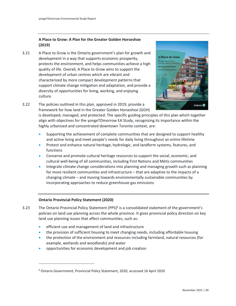# **A Place to Grow: A Plan for the Greater Golden Horseshoe (2019)**

3.21 A Place to Grow is the Ontario government's plan for growth and development in a way that supports economic prosperity, protects the environment, and helps communities achieve a high quality of life. Overall, A Place to Grow aims to support the development of urban centres which are vibrant and characterized by more compact development patterns that support climate change mitigation and adaptation, and provide a diversity of opportunities for living, working, and enjoying culture.





is developed, managed, and protected. The specific guiding principles of this plan which together align with objectives for the yongeTOmorrow EA Study, recognizing its importance within the highly urbanized and concentrated downtown Toronto context, are:

- Supporting the achievement of complete communities that are designed to support healthy and active living and meet people's needs for daily living throughout an entire lifetime
- Protect and enhance natural heritage, hydrologic, and landform systems, features, and functions
- cultural well-being of all communities, including First Nations and Métis communities • Conserve and promote cultural heritage resources to support the social, economic, and
- Integrate climate change considerations into planning and managing growth such as planning for more resilient communities and infrastructure – that are adaptive to the impacts of a changing climate – and moving towards environmentally sustainable communities by incorporating approaches to reduce greenhouse gas emissions

# **Ontario Provincial Policy Statement (2020)**

- 3.23 The Ontario Provincial Policy Statement (PPS)<sup>6</sup> is a consolidated statement of the government's policies on land use planning across the whole province. It gives provincial policy direction on key land use planning issues that affect communities, such as:
	- efficient use and management of land and infrastructure
	- the provision of sufficient housing to meet changing needs, including affordable housing
	- the protection of the environment and resources including farmland, natural resources (for example, wetlands and woodlands) and water
	- opportunities for economic development and job creation

<sup>6</sup> Ontario Government, Provincial Policy Statement, 2020, accessed 16 April 2020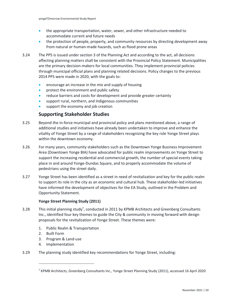- accommodate current and future needs • the appropriate transportation, water, sewer, and other infrastructure needed to
- the protection of people, property, and community resources by directing development away from natural or human-made hazards, such as flood prone areas
- 3.24 The PPS is issued unde[r section 3 of the Planning Act](https://www.ontario.ca/laws/statute/90p13#BK7) and according to the act, all decisions affecting planning matters shall be consistent with the Provincial Policy Statement. Municipalities are the primary decision-makers for local communities. They implement provincial policies throug[h municipal official plans](https://www.ontario.ca/document/citizens-guide-land-use-planning/official-plans) and planning related decisions. Policy changes to the previous 2014 PPS were made in 2020, with the goals to:
	- encourage an increase in the mix and supply of housing
	- protect the environment and public safety
	- reduce barriers and costs for development and provide greater certainty
	- support rural, northern, and Indigenous communities
	- support the economy and job creation

# **Supporting Stakeholder Studies**

- 3.25 Beyond the in-force municipal and provincial policy and plans mentioned above, a range of additional studies and initiatives have already been undertaken to improve and enhance the vitality of Yonge Street by a range of stakeholders recognizing the key role Yonge Street plays within the downtown economy.
- 3.26 For many years, community stakeholders such as the Downtown Yonge Business Improvement Area (Downtown Yonge BIA) have advocated for public realm improvements on Yonge Street to support the increasing residential and commercial growth, the number of special events taking place in and around Yonge-Dundas Square, and to properly accommodate the volume of pedestrians using the street daily.
- 3.27 Yonge Street has been identified as a street in need of revitalization and key for the public realm to support its role in the city as an economic and cultural hub. These stakeholder-led initiatives have informed the development of objectives for the EA Study, outlined in the Problem and Opportunity Statement.

### **Yonge Street Planning Study (2011)**

- 3.28 This initial planning study<sup>7</sup>, conducted in 2011 by KPMB Architects and Greenberg Consultants Inc., identified four key themes to guide the City & community in moving forward with design proposals for the revitalization of Yonge Street. These themes were:
	- 1. Public Realm & Transportation
	- 2. Built Form
	- 3. Program & Land-use
	- 4. Implementation
- 3.29 The planning study identified key recommendations for Yonge Street, including:

<sup>7</sup> KPMB Architects, Greenberg Consultants Inc., Yonge Street Planning Study (2011), accessed 16 April 2020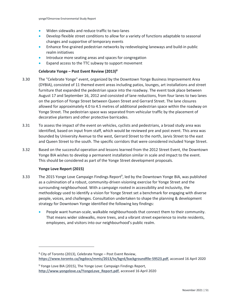- Widen sidewalks and reduce traffic to two-lanes
- • Develop flexible street conditions to allow for a variety of functions adaptable to seasonal changes and supportive of temporary events
- Enhance fine-grained pedestrian networks by redeveloping laneways and build-in public realm initiatives
- Introduce more seating areas and spaces for congregation
- Expand access to the TTC subway to support movement

#### **Celebrate Yonge – Post Event Review (2013)8**

- allowed for approximately 4.0 to 4.5 metres of additional pedestrian space within the roadway on 3.30 The "Celebrate Yonge" event, organized by the Downtown Yonge Business Improvement Area (DYBIA), consisted of 11 themed event areas including patios, lounges, art installations and street furniture that expanded the pedestrian space into the roadway. The event took place between August 17 and September 16, 2012 and consisted of lane reductions, from four lanes to two lanes on the portion of Yonge Street between Queen Street and Gerrard Street. The lane closures Yonge Street. The pedestrian space was separated from vehicular traffic by the placement of decorative planters and other protective barricades.
- 3.31 To assess the impact of the event on vehicles, cyclists and pedestrians, a broad study area was identified, based on input from staff, which would be reviewed pre and post event. This area was bounded by University Avenue to the west, Gerrard Street to the north, Jarvis Street to the east and Queen Street to the south. The specific corridors that were considered included Yonge Street.
- 3.32 Based on the successful operation and lessons learned from the 2012 Street Event, the Downtown Yonge BIA wishes to develop a permanent installation similar in scale and impact to the event. This should be considered as part of the Yonge Street development proposals.

#### **Yonge Love Report (2015)**

- 3.33 The 2015 Yonge Love Campaign Findings Report<sup>9</sup>, led by the Downtown Yonge BIA, was published as a culmination of a robust, community-driven visioning exercise for Yonge Street and the surrounding neighbourhood. With a campaign rooted in accessibility and inclusivity, the methodology used to identify a vision for Yonge Street set a benchmark for engaging with diverse people, voices, and challenges. Consultation undertaken to shape the planning & development strategy for Downtown Yonge identified the following key findings:
	- People want human-scale, walkable neighbourhoods that connect them to their community. That means wider sidewalks, more trees, and a vibrant street experience to invite residents, employees, and visitors into our neighbourhood's public realm.

 $8$  City of Toronto (2013), Celebrate Yonge – Post Event Review, **<https://www.toronto.ca/legdocs/mmis/2013/te/bgrd/backgroundfile-59523.pdf>**, accessed 16 April 2020

<sup>&</sup>lt;sup>9</sup> Yonge Love BIA (2015), The Yonge Love: Campaign Findings Report, **[http://www.yongelove.ca/YongeLove\\_Report.pdf](http://www.yongelove.ca/YongeLove_Report.pdf)**, accessed 16 April 2020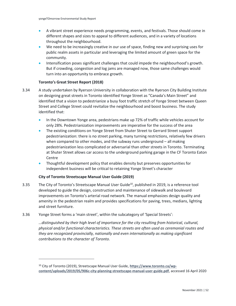- A vibrant street experience needs programming, events, and festivals. Those should come in different shapes and sizes to appeal to different audiences, and in a variety of locations throughout the neighbourhood.
- • We need to be increasingly creative in our use of space, finding new and surprising uses for public realm assets in particular and leveraging the limited amount of green space for the community.
- Intensification poses significant challenges that could impede the neighbourhood's growth. But if crowding, congestion and log jams are managed now, those same challenges would turn into an opportunity to embrace growth.

### **Toronto's Great Street Report (2018)**

- 3.34 A study undertaken by Ryerson University in collaboration with the Ryerson City Building Institute on designing great streets in Toronto identified Yonge Street as "Canada's Main Street" and identified that a vision to pedestrianize a busy foot traffic stretch of Yonge Street between Queen Street and College Street could revitalize the neighbourhood and boost business. The study identified that:
	- In the Downtown Yonge area, pedestrians make up 72% of traffic while vehicles account for only 28%. Pedestrianization improvements are imperative for the success of the area
	- when compared to other modes, and the subway runs underground all making • The existing conditions on Yonge Street from Shuter Street to Gerrard Street support pedestrianization: there is no street parking, many turning restrictions, relatively few drivers pedestrianization less complicated or adversarial than other streets in Toronto. Terminating at Shuter Street allows car access to the underground parking garage in the CF Toronto Eaton **Centre**
	- Thoughtful development policy that enables density but preserves opportunities for independent business will be critical to retaining Yonge Street's character

### **City of Toronto Streetscape Manual User Guide (2019)**

3.35 The City of Toronto's Streetscape Manual User Guide<sup>10</sup>, published in 2019, is a reference tool developed to guide the design, construction and maintenance of sidewalk and boulevard improvements on Toronto's arterial road network. The manual emphasizes design quality and amenity in the pedestrian realm and provides specifications for paving, trees, medians, lighting and street furniture.

### 3.36 Yonge Street forms a 'main street', within the subcategory of 'Special Streets':

*…distinguished by their high level of importance for the city resulting from historical, cultural, physical and/or functional characteristics. These streets are often used as ceremonial routes and they are recognized provincially, nationally and even internationally as making significant contributions to the character of Toronto.* 

<sup>&</sup>lt;sup>10</sup> City of Toronto (2019), Streetscape Manual User Guide, [https://www.toronto.ca/wp](https://www.toronto.ca/wp-content/uploads/2019/05/906c-city-planning-streetscape-manual-user-guide.pdf)**[content/uploads/2019/05/906c-city-planning-streetscape-manual-user-guide.pdf](https://www.toronto.ca/wp-content/uploads/2019/05/906c-city-planning-streetscape-manual-user-guide.pdf)**, accessed 16 April 2020